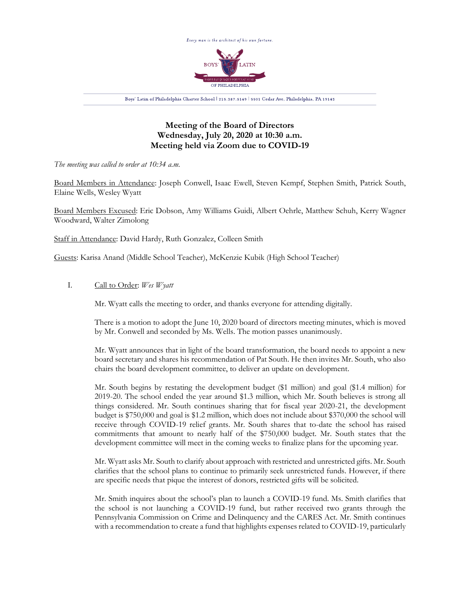

## **Meeting of the Board of Directors Wednesday, July 20, 2020 at 10:30 a.m. Meeting held via Zoom due to COVID-19**

*The meeting was called to order at 10:34 a.m.*

Board Members in Attendance: Joseph Conwell, Isaac Ewell, Steven Kempf, Stephen Smith, Patrick South, Elaine Wells, Wesley Wyatt

Board Members Excused: Eric Dobson, Amy Williams Guidi, Albert Oehrle, Matthew Schuh, Kerry Wagner Woodward, Walter Zimolong

Staff in Attendance: David Hardy, Ruth Gonzalez, Colleen Smith

Guests: Karisa Anand (Middle School Teacher), McKenzie Kubik (High School Teacher)

I. Call to Order: *Wes Wyatt*

Mr. Wyatt calls the meeting to order, and thanks everyone for attending digitally.

There is a motion to adopt the June 10, 2020 board of directors meeting minutes, which is moved by Mr. Conwell and seconded by Ms. Wells. The motion passes unanimously.

Mr. Wyatt announces that in light of the board transformation, the board needs to appoint a new board secretary and shares his recommendation of Pat South. He then invites Mr. South, who also chairs the board development committee, to deliver an update on development.

Mr. South begins by restating the development budget (\$1 million) and goal (\$1.4 million) for 2019-20. The school ended the year around \$1.3 million, which Mr. South believes is strong all things considered. Mr. South continues sharing that for fiscal year 2020-21, the development budget is \$750,000 and goal is \$1.2 million, which does not include about \$370,000 the school will receive through COVID-19 relief grants. Mr. South shares that to-date the school has raised commitments that amount to nearly half of the \$750,000 budget. Mr. South states that the development committee will meet in the coming weeks to finalize plans for the upcoming year.

Mr. Wyatt asks Mr. South to clarify about approach with restricted and unrestricted gifts. Mr. South clarifies that the school plans to continue to primarily seek unrestricted funds. However, if there are specific needs that pique the interest of donors, restricted gifts will be solicited.

Mr. Smith inquires about the school's plan to launch a COVID-19 fund. Ms. Smith clarifies that the school is not launching a COVID-19 fund, but rather received two grants through the Pennsylvania Commission on Crime and Delinquency and the CARES Act. Mr. Smith continues with a recommendation to create a fund that highlights expenses related to COVID-19, particularly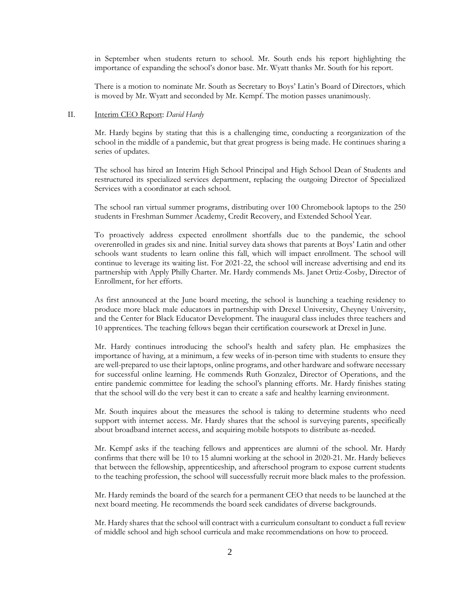in September when students return to school. Mr. South ends his report highlighting the importance of expanding the school's donor base. Mr. Wyatt thanks Mr. South for his report.

There is a motion to nominate Mr. South as Secretary to Boys' Latin's Board of Directors, which is moved by Mr. Wyatt and seconded by Mr. Kempf. The motion passes unanimously.

## II. Interim CEO Report: *David Hardy*

Mr. Hardy begins by stating that this is a challenging time, conducting a reorganization of the school in the middle of a pandemic, but that great progress is being made. He continues sharing a series of updates.

The school has hired an Interim High School Principal and High School Dean of Students and restructured its specialized services department, replacing the outgoing Director of Specialized Services with a coordinator at each school.

The school ran virtual summer programs, distributing over 100 Chromebook laptops to the 250 students in Freshman Summer Academy, Credit Recovery, and Extended School Year.

To proactively address expected enrollment shortfalls due to the pandemic, the school overenrolled in grades six and nine. Initial survey data shows that parents at Boys' Latin and other schools want students to learn online this fall, which will impact enrollment. The school will continue to leverage its waiting list. For 2021-22, the school will increase advertising and end its partnership with Apply Philly Charter. Mr. Hardy commends Ms. Janet Ortiz-Cosby, Director of Enrollment, for her efforts.

As first announced at the June board meeting, the school is launching a teaching residency to produce more black male educators in partnership with Drexel University, Cheyney University, and the Center for Black Educator Development. The inaugural class includes three teachers and 10 apprentices. The teaching fellows began their certification coursework at Drexel in June.

Mr. Hardy continues introducing the school's health and safety plan. He emphasizes the importance of having, at a minimum, a few weeks of in-person time with students to ensure they are well-prepared to use their laptops, online programs, and other hardware and software necessary for successful online learning. He commends Ruth Gonzalez, Director of Operations, and the entire pandemic committee for leading the school's planning efforts. Mr. Hardy finishes stating that the school will do the very best it can to create a safe and healthy learning environment.

Mr. South inquires about the measures the school is taking to determine students who need support with internet access. Mr. Hardy shares that the school is surveying parents, specifically about broadband internet access, and acquiring mobile hotspots to distribute as-needed.

Mr. Kempf asks if the teaching fellows and apprentices are alumni of the school. Mr. Hardy confirms that there will be 10 to 15 alumni working at the school in 2020-21. Mr. Hardy believes that between the fellowship, apprenticeship, and afterschool program to expose current students to the teaching profession, the school will successfully recruit more black males to the profession.

Mr. Hardy reminds the board of the search for a permanent CEO that needs to be launched at the next board meeting. He recommends the board seek candidates of diverse backgrounds.

Mr. Hardy shares that the school will contract with a curriculum consultant to conduct a full review of middle school and high school curricula and make recommendations on how to proceed.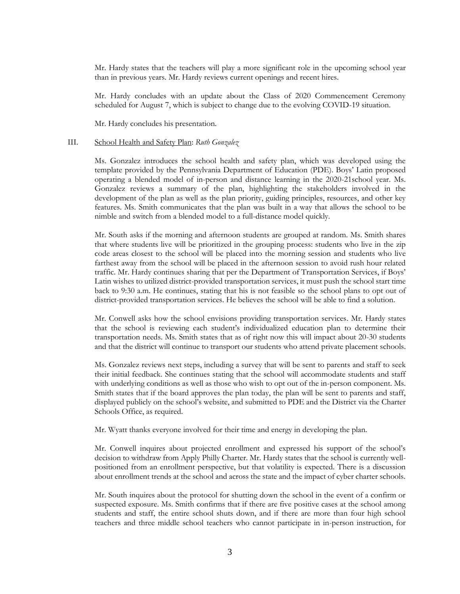Mr. Hardy states that the teachers will play a more significant role in the upcoming school year than in previous years. Mr. Hardy reviews current openings and recent hires.

Mr. Hardy concludes with an update about the Class of 2020 Commencement Ceremony scheduled for August 7, which is subject to change due to the evolving COVID-19 situation.

Mr. Hardy concludes his presentation.

## III. School Health and Safety Plan: *Ruth Gonzalez*

Ms. Gonzalez introduces the school health and safety plan, which was developed using the template provided by the Pennsylvania Department of Education (PDE). Boys' Latin proposed operating a blended model of in-person and distance learning in the 2020-21school year. Ms. Gonzalez reviews a summary of the plan, highlighting the stakeholders involved in the development of the plan as well as the plan priority, guiding principles, resources, and other key features. Ms. Smith communicates that the plan was built in a way that allows the school to be nimble and switch from a blended model to a full-distance model quickly.

Mr. South asks if the morning and afternoon students are grouped at random. Ms. Smith shares that where students live will be prioritized in the grouping process: students who live in the zip code areas closest to the school will be placed into the morning session and students who live farthest away from the school will be placed in the afternoon session to avoid rush hour related traffic. Mr. Hardy continues sharing that per the Department of Transportation Services, if Boys' Latin wishes to utilized district-provided transportation services, it must push the school start time back to 9:30 a.m. He continues, stating that his is not feasible so the school plans to opt out of district-provided transportation services. He believes the school will be able to find a solution.

Mr. Conwell asks how the school envisions providing transportation services. Mr. Hardy states that the school is reviewing each student's individualized education plan to determine their transportation needs. Ms. Smith states that as of right now this will impact about 20-30 students and that the district will continue to transport our students who attend private placement schools.

Ms. Gonzalez reviews next steps, including a survey that will be sent to parents and staff to seek their initial feedback. She continues stating that the school will accommodate students and staff with underlying conditions as well as those who wish to opt out of the in-person component. Ms. Smith states that if the board approves the plan today, the plan will be sent to parents and staff, displayed publicly on the school's website, and submitted to PDE and the District via the Charter Schools Office, as required.

Mr. Wyatt thanks everyone involved for their time and energy in developing the plan.

Mr. Conwell inquires about projected enrollment and expressed his support of the school's decision to withdraw from Apply Philly Charter. Mr. Hardy states that the school is currently wellpositioned from an enrollment perspective, but that volatility is expected. There is a discussion about enrollment trends at the school and across the state and the impact of cyber charter schools.

Mr. South inquires about the protocol for shutting down the school in the event of a confirm or suspected exposure. Ms. Smith confirms that if there are five positive cases at the school among students and staff, the entire school shuts down, and if there are more than four high school teachers and three middle school teachers who cannot participate in in-person instruction, for